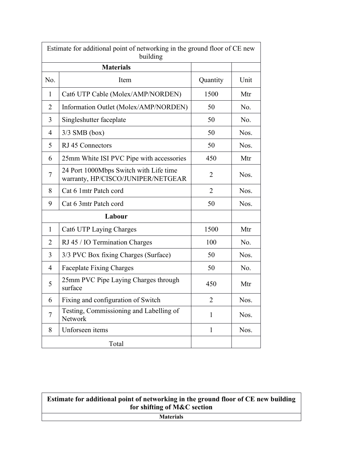| Estimate for additional point of networking in the ground floor of CE new<br>building |                                                                              |                |      |  |  |
|---------------------------------------------------------------------------------------|------------------------------------------------------------------------------|----------------|------|--|--|
|                                                                                       | <b>Materials</b>                                                             |                |      |  |  |
| No.                                                                                   | Item                                                                         | Quantity       | Unit |  |  |
| $\mathbf{1}$                                                                          | Cat6 UTP Cable (Molex/AMP/NORDEN)                                            | 1500           | Mtr  |  |  |
| $\overline{2}$                                                                        | Information Outlet (Molex/AMP/NORDEN)                                        | 50             | No.  |  |  |
| 3                                                                                     | Singleshutter faceplate                                                      | 50             | No.  |  |  |
| 4                                                                                     | $3/3$ SMB (box)                                                              | 50             | Nos. |  |  |
| 5                                                                                     | RJ 45 Connectors                                                             | 50             | Nos. |  |  |
| 6                                                                                     | 25mm White ISI PVC Pipe with accessories                                     | 450            | Mtr  |  |  |
| $\overline{7}$                                                                        | 24 Port 1000Mbps Switch with Life time<br>warranty, HP/CISCO/JUNIPER/NETGEAR | $\overline{c}$ | Nos. |  |  |
| 8                                                                                     | Cat 6 1mtr Patch cord                                                        | $\overline{2}$ | Nos. |  |  |
| 9                                                                                     | Cat 6 3mtr Patch cord                                                        | 50             | Nos. |  |  |
| Labour                                                                                |                                                                              |                |      |  |  |
| $\mathbf{1}$                                                                          | Cat6 UTP Laying Charges                                                      | 1500           | Mtr  |  |  |
| $\overline{2}$                                                                        | RJ 45 / IO Termination Charges                                               | 100            | No.  |  |  |
| 3                                                                                     | 3/3 PVC Box fixing Charges (Surface)                                         | 50             | Nos. |  |  |
| 4                                                                                     | <b>Faceplate Fixing Charges</b>                                              | 50             | No.  |  |  |
| 5                                                                                     | 25mm PVC Pipe Laying Charges through<br>surface                              | 450            | Mtr  |  |  |
| 6                                                                                     | Fixing and configuration of Switch                                           | $\overline{2}$ | Nos. |  |  |
| $\overline{7}$                                                                        | Testing, Commissioning and Labelling of<br>Network                           | $\mathbf{1}$   | Nos. |  |  |
| 8                                                                                     | Unforseen items                                                              | $\mathbf{1}$   | Nos. |  |  |
|                                                                                       | Total                                                                        |                |      |  |  |

## **Estimate for additional point of networking in the ground floor of CE new building for shifting of M&C section**

**Materials**